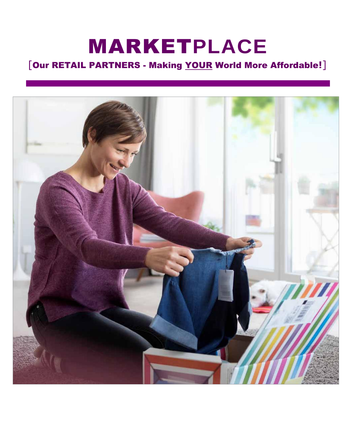# MARKET**PLACE**

# [Our RETAIL PARTNERS - Making YOUR World More Affordable**!**]

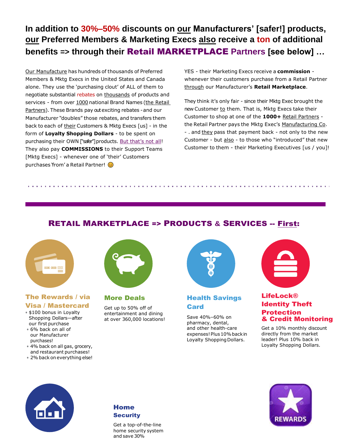**In addition to 30%–50% discounts on our Manufacturers' [safer!] products, our Preferred Members & Marketing Execs also receive a ton of additional benefits => through their** Retail MARKETPLACE **Partners [see below] …**

Our Manufacture has hundreds of thousands of Preferred Members & Mktg Execs in the United States and Canada alone. They use the 'purchasing clout' of ALL of them to negotiate substantial rebates on thousands of products and services - from over 1000 national Brand Names (the Retail Partners). These Brands pay out exciting rebates -and our Manufacturer "doubles" those rebates, and transfers them back to each of their Customers & Mktg Execs [us] - in the form of **Loyalty Shopping Dollars** - to be spent on purchasing their OWN ["safer"] products. But that's not all! They also pay **COMMISSIONS** to their Support Teams [Mktg Execs] - whenever one of 'their' Customers purchases 'from' a Retail Partner! ©

YES - their Marketing Execs receive a **commission** whenever their customers purchase from a Retail Partner through our Manufacturer's **Retail Marketplace**.

They think it's only fair - since their Mktg Exec brought the new Customer to them. That is, Mktg Execs take their Customer to shop at one of the **1000+** Retail Partners the Retail Partner pays the Mktg Exec's Manufacturing Co. - . and they pass that payment back - not only to the new Customer - but also - to those who "introduced" that new Customer to them - their Marketing Executives [us / you]!

### RETAIL MARKETPLACE => PRODUCTS **&** SERVICES -- First:



#### The Rewards / via Visa / Mastercard

- \$100 bonus in Loyalty Shopping Dollars—after our first purchase
- 6% back on all of our Manufacturer purchases!
- 4% back on all gas, grocery, and restaurant purchases!
- 2%back on everything else!



### More Deals

Get up to 50% off of entertainment and dining at over 360,000 locations!



#### Health Savings Card

Save 40%–60% on pharmacy, dental, and other health-care expenses! Plus 10% back in Loyalty Shopping Dollars.



#### LifeLock® Identity Theft Protection & Credit Monitoring

Get a 10% monthly discount directly from the market leader! Plus 10% back in Loyalty Shopping Dollars.





Get a top-of-the-line home security system and save 30%

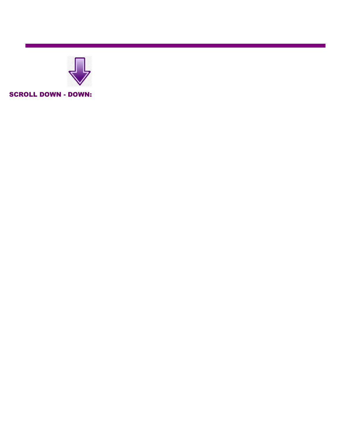

SCROLL DOWN - DOWN:

**All you do is go to the**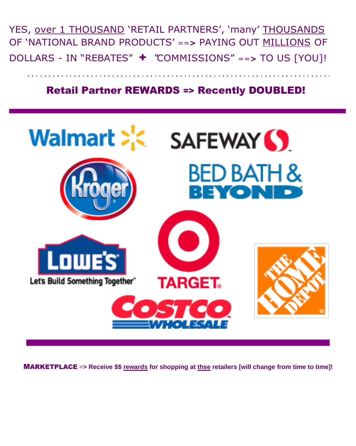YES, over 1 THOUSAND 'RETAIL PARTNERS', 'many' THOUSANDS OF 'NATIONAL BRAND PRODUCTS' ==**>** PAYING OUT MILLIONS OF DOLLARS - IN "REBATES" + "COMMISSIONS" ==**<sup>&</sup>gt;** TO US [YOU]!

## Retail Partner REWARDS => Recently DOUBLED!



MARKETPLACE =**> Receive \$\$ rewards for shopping at thse retailers [will change from time to time]!**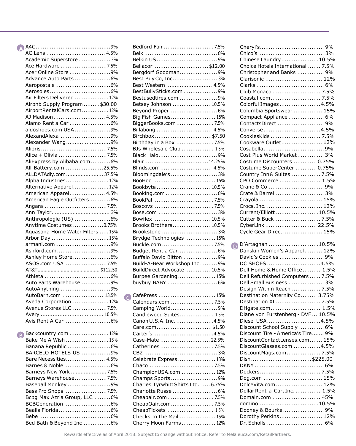| AC Lens  4.5%                    |  |
|----------------------------------|--|
| Academic Superstore3%            |  |
| Ace Hardware 7.5%                |  |
| Acer Online Store 9%             |  |
| Advance Auto Parts 6%            |  |
|                                  |  |
|                                  |  |
|                                  |  |
| Air Filters Delivered  12%       |  |
| Airbnb Supply Program  \$30.00   |  |
| AirportRentalCars.com 12%        |  |
| AJ Madison 4.5%                  |  |
| Alamo Rent a Car 6%              |  |
| aldoshoes.com USA 9%             |  |
| AlexandAlexa 9%                  |  |
| Alexander Wang9%                 |  |
|                                  |  |
| Alice + Olivia 7.5%              |  |
| AliExpress by Alibaba.com 6%     |  |
|                                  |  |
| All-Battery.com 25.5%            |  |
| ALLDATAdiy.com  37.5%            |  |
| Alpha Industries12%              |  |
| Alternative Apparel 12%          |  |
| American Apparel 4.5%            |  |
| American Eagle Outfitters6%      |  |
|                                  |  |
|                                  |  |
| Anthropologie (US) 6%            |  |
| Anytime Costumes 0.75%           |  |
| Aquasana Home Water Filters  15% |  |
| Arbor Day 15%                    |  |
| armani.com9%                     |  |
|                                  |  |
| Ashford.com9%                    |  |
| Ashley Home Store6%              |  |
| ASOS.com USA7.5%                 |  |
|                                  |  |
|                                  |  |
| Auto Parts Warehouse 9%          |  |
| AutoAnything 9%                  |  |
| AutoBarn.com  13.5%              |  |
| Aveda Corporation 12%            |  |
| Avenue Stores LLC 7.5%           |  |
|                                  |  |
| Avis Rent A Car 6%               |  |
|                                  |  |
| Backcountry.com  12%             |  |
| (B)<br>Bake Me A Wish 15%        |  |
|                                  |  |
| Banana Republic 6%               |  |
| BARCELO HOTELS US9%              |  |
| Bare Necessities 4.5%            |  |
| Barnes & Noble 6%                |  |
| Barneys New York  7.5%           |  |
| Barneys Warehouse7.5%            |  |
| Baseball Monkey 9%               |  |
| Bass Pro Shops 7.5%              |  |
| Bcbg Max Azria Group, LLC 6%     |  |
|                                  |  |
| BCBGeneration 6%                 |  |
| Bealls Florida6%                 |  |
|                                  |  |
| Bed Bath & Beyond Inc 6%         |  |

| Bedford Fair  7.5%                  |  |
|-------------------------------------|--|
|                                     |  |
| Belkin US9%                         |  |
| Bellacor\$12.00                     |  |
| Bergdorf Goodman9%                  |  |
| Best Buy Co, Inc 3%                 |  |
| Best Western  4.5%                  |  |
| BestBullySticks.com 9%              |  |
| Bestusedtires.com  9%               |  |
| Betsey Johnson  10.5%               |  |
| Beyond Proper 6%                    |  |
|                                     |  |
| Big Fish Games 15%                  |  |
| BiggerBooks.com  7.5%               |  |
| Billabong  4.5%                     |  |
| Birchbox \$7.50                     |  |
| Birthday in a Box  7.5%             |  |
| BJs Wholesale Club  1.5%            |  |
| Black Halo9%                        |  |
| Blair14.25%                         |  |
| Blinds.com  4.5%                    |  |
| Bloomingdale's  3%                  |  |
|                                     |  |
| Bookbyte 10.5%                      |  |
| Booking.com  6%                     |  |
|                                     |  |
|                                     |  |
|                                     |  |
|                                     |  |
| Bowflex  10.5%                      |  |
| Brooks Brothers 10.5%               |  |
| Brookstone  3%                      |  |
| Brydge Technologies  15%            |  |
| Buckle.com  7.5%                    |  |
| Budget Rent a Car 6%                |  |
| Buffalo David Bitton 9%             |  |
| Build-A-Bear Workshop Inc 9%        |  |
| BuildDirect Advocate  10.5%         |  |
| Burpee Gardening 15%                |  |
| buybuy BABY  6%                     |  |
|                                     |  |
| CafePress  15%                      |  |
| O<br>Calendars.com  7.5%            |  |
| Camping World9%                     |  |
|                                     |  |
| Candlewood Suites 1.5%              |  |
| Canon U.S.A. Inc. 4.5%              |  |
| Care.com\$1.50                      |  |
| Carter's 4.5%                       |  |
| Case-Mate  22.5%                    |  |
|                                     |  |
|                                     |  |
| Celebrate Express  18%              |  |
|                                     |  |
| ChampionUSA.com  12%                |  |
| Champs Sports9%                     |  |
| Charles Tyrwhitt Shirts Ltd.  6.75% |  |
| Charlotte Russe  6%                 |  |
| Cheapair.com7.5%                    |  |
| CheapOair.com 7.5%                  |  |
| CheapTickets  1.5%                  |  |
| Checks In The Mail  15%             |  |
|                                     |  |
| Cherry Moon Farms 12%               |  |

| Chinese Laundry10.5%              |  |
|-----------------------------------|--|
| Choice Hotels International  7.5% |  |
| Christopher and Banks  9%         |  |
| Clarisonic  12%                   |  |
|                                   |  |
| Club Monaco  7.5%                 |  |
| Coastal.com 7.5%                  |  |
| Colorful Images4.5%               |  |
| Columbia Sportswear  15%          |  |
| Compact Appliance  6%             |  |
| ContactsDirect 9%                 |  |
| Converse4.5%                      |  |
| CookiesKids  7.5%                 |  |
| Cookware Outlet 12%               |  |
|                                   |  |
| Cost Plus World Market 3%         |  |
| Costume Discounters  0.75%        |  |
| Costume SuperCenter  0.75%        |  |
| Country Inn & Suites 7.5%         |  |
| CPO Commerce  1.5%                |  |
|                                   |  |
| Crate & Barrel 3%                 |  |
| Crayola  15%                      |  |
| Crocs, Inc.  12%                  |  |
| Current/Elliott 10.5%             |  |
| Cutter & Buck 7.5%                |  |
| CyberLink  22.5%                  |  |
| Cycle Gear Direct  15%            |  |
|                                   |  |
| D D'Artagnan 10.5%                |  |
| Danskin Women's Apparel 12%       |  |
| David's Cookies  9%               |  |
| DC SHOES 4.5%                     |  |
| Dell Home & Home Office 1.5%      |  |
| Dell Refurbished Computers  7.5%  |  |
|                                   |  |
| Dell Small Business  3%           |  |
| Design Within Reach  7.5%         |  |
| Destination Maternity Co 3.75%    |  |
| Destination XL 7.5%               |  |
| DHgate.com 1.5%                   |  |

| DC SHOES 4.5%                      |  |
|------------------------------------|--|
| Dell Home & Home Office  1.5%      |  |
| Dell Refurbished Computers  7.5%   |  |
| Dell Small Business  3%            |  |
| Design Within Reach  7.5%          |  |
| Destination Maternity Co 3.75%     |  |
| Destination XL 7.5%                |  |
| DHgate.com 1.5%                    |  |
| Diane von Furstenberg - DVF  10.5% |  |
| Diesel USA4.5%                     |  |
| Discount School Supply  6%         |  |
| Discount Tire - America's Tire 9%  |  |
| DiscountContactLenses.com 15%      |  |
| DiscountGlasses.com 4.5%           |  |
| DiscountMags.com 7.5%              |  |
| Dish\$225.00                       |  |
|                                    |  |
|                                    |  |
| Dog.com  15%                       |  |
| DolceVita.com  12%                 |  |
| Dollar Rent-a-Car, Inc.  1.5%      |  |
| Domain.com  45%                    |  |
| domino10.5%                        |  |
| Dooney & Bourke9%                  |  |
| Dorothy Perkins 12%                |  |
|                                    |  |
|                                    |  |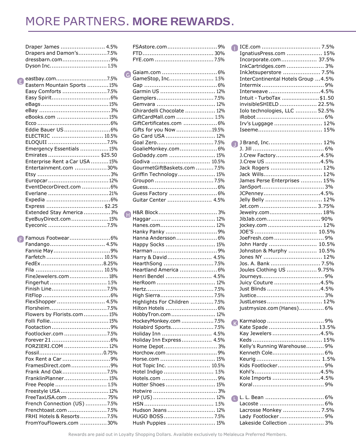# MORE PARTNERS. **MORE REWARDS**.

 $\bullet$ 

 $\bigoplus$ 

|   | Draper James  4.5%<br>Drapers and Damon's7.5%     |
|---|---------------------------------------------------|
|   | dressbarn.com9%<br>Dyson Inc 1.5%                 |
|   |                                                   |
| e | eastbay.com7.5%<br>Eastern Mountain Sports 15%    |
|   | Easy Comforts 7.5%                                |
|   |                                                   |
|   |                                                   |
|   |                                                   |
|   | eBooks.com 15%                                    |
|   |                                                   |
|   | Eddie Bauer US 6%                                 |
|   |                                                   |
|   | ELECTRIC  10.5%                                   |
|   |                                                   |
|   | Emergency Essentials 15%                          |
|   | Emirates  \$25.50                                 |
|   | Enterprise Rent a Car USA 15%                     |
|   | Entertainment.com 30%                             |
|   |                                                   |
|   | Europcar12%                                       |
|   | EventDecorDirect.com 6%                           |
|   | Everlane 21%                                      |
|   |                                                   |
|   | Express  \$2.25                                   |
|   | Extended Stay America 3%<br>EyeBuyDirect.com15%   |
|   | Eyeconic 7.5%                                     |
|   |                                                   |
|   |                                                   |
| Θ | Famous Footwear6%                                 |
|   | Fandango 4.5%                                     |
|   | Fannie May9%                                      |
|   | Farfetch  10.5%                                   |
|   | FedEx8.25%                                        |
|   |                                                   |
|   | FineJewelers.com18%                               |
|   | Fingerhut  1.5%                                   |
|   | Finish Line7.5%                                   |
|   |                                                   |
|   | FlexShopper 4.5%                                  |
|   | Florsheim7.5%                                     |
|   | Flowers by Florists.com  15%                      |
|   | Folli Follie15%                                   |
|   | Footaction9%                                      |
|   | Footlocker.com 7.5%                               |
|   |                                                   |
|   | FORZIERI.COM 12%                                  |
|   |                                                   |
|   | Fox Rent a Car 9%                                 |
|   | FramesDirect.com 9%                               |
|   | Frank And Oak7.5%                                 |
|   | FranklinPlanner15%                                |
|   | Free People  1.5%                                 |
|   | Freestyle USA  12%                                |
|   | FreeTaxUSA.com  75%                               |
|   | French Connection (US) 7.5%                       |
|   | Frenchtoast.com 7.5%<br>FRHI Hotels & Resorts7.5% |

| FSAstore.com 9%               |
|-------------------------------|
|                               |
|                               |
|                               |
|                               |
| GameStop, Inc 1.5%            |
|                               |
| Garmin US  12%                |
|                               |
| Gemvara  12%                  |
| Ghirardelli Chocolate  12%    |
| GiftCardMall.com  1.5%        |
|                               |
| Gifts for you Now 19.5%       |
| Go Card USA  12%              |
| Goal Zero 7.5%                |
| GoalieMonkey.com 6%           |
| GoDaddy.com  15%              |
| Godiva  10.5%                 |
| GourmetGiftBaskets.com  7.5%  |
| Griffin Technology  15%       |
|                               |
|                               |
| Guess Factory  6%             |
| Guitar Center  4.5%           |
|                               |
|                               |
|                               |
| Hanes.com 12%                 |
| Hanky Panky 9%                |
| Hanna Andersson 6%            |
| Happy Socks  15%              |
|                               |
| Harry & David  4.5%           |
|                               |
| Heartland America  6%         |
| Henri Bendel  4.5%            |
| HerRoom  12%                  |
|                               |
| High Sierra7.5%               |
| Highlights For Children  7.5% |
| Hilton Hotels  6%             |
| HobbyTron.com 12%             |
| HockeyMonkey.com  7.5%        |
| Holabird Sports 7.5%          |
| Holiday Inn  4.5%             |
| Holiday Inn Express 4.5%      |
| Home Depot 3%                 |
| Horchow.com 9%                |
| Horse.com  15%                |
| Hot Topic Inc.  10.5%         |
| Hotel Indigo  1.5%            |
| Hotels.com 9%                 |
| Hotter Shoes  15%             |
|                               |
|                               |
|                               |
| Hudson Jeans  12%             |
| HUGO BOSS7.5%                 |
| Hush Puppies  15%             |
|                               |

| Œ                                  |  |
|------------------------------------|--|
|                                    |  |
| IgnatiusPress.com  15%             |  |
| Incorporate.com  37.5%             |  |
|                                    |  |
| InkCartridges.com  3%              |  |
| InkJetsuperstore  7.5%             |  |
|                                    |  |
| InterContinental Hotels Group 4.5% |  |
|                                    |  |
|                                    |  |
| Interweave 4.5%                    |  |
| Intuit - TurboTax \$1.50           |  |
|                                    |  |
| invisibleSHIELD  22.5%             |  |
| Iolo technologies, LLC  52.5%      |  |
|                                    |  |
|                                    |  |
| Irv's Luggage  12%                 |  |
|                                    |  |
|                                    |  |
|                                    |  |
|                                    |  |
| J Brand, Inc.  12%<br>n            |  |
|                                    |  |
|                                    |  |
| J.Crew Factory4.5%                 |  |
| J.Crew US 4.5%                     |  |
|                                    |  |
| Jack Rogers  12%                   |  |
| Jack Wills 12%                     |  |
|                                    |  |
| James Perse Enterprises  15%       |  |
|                                    |  |
| JCPenney4.5%                       |  |
|                                    |  |
| Jelly Belly  12%                   |  |
| Jet.com  3.75%                     |  |
|                                    |  |
|                                    |  |
|                                    |  |
|                                    |  |
| jockey.com  12%                    |  |
|                                    |  |
|                                    |  |
| JoeFresh.com 9%                    |  |
| John Hardy  10.5%                  |  |
|                                    |  |
| Johnston & Murphy  10.5%           |  |
| Jones NY  12%                      |  |
|                                    |  |
| Jos. A. Bank  7.5%                 |  |
| Joules Clothing US  9.75%          |  |
|                                    |  |
|                                    |  |
| Juicy Couture 4.5%                 |  |
|                                    |  |
| Just Blinds 4.5%                   |  |
|                                    |  |
|                                    |  |
|                                    |  |
| justmysize.com (Hanes) 6%          |  |
|                                    |  |
|                                    |  |
|                                    |  |
| Kate Spade 13.5%                   |  |
|                                    |  |
| Kay Jewelers 4.5%                  |  |
|                                    |  |
|                                    |  |
| Kelly's Running Warehouse 9%       |  |
| Kenneth Cole 6%                    |  |
|                                    |  |
| 1.5%<br>Keurig                     |  |
| Kids Footlocker 9%                 |  |
|                                    |  |
| Kohl's…………………………………4.5%            |  |
| Kole Imports 4.5%                  |  |
|                                    |  |
|                                    |  |
|                                    |  |
|                                    |  |
| D                                  |  |
|                                    |  |
| Lacrosse Monkey  7.5%              |  |
|                                    |  |
| Lady Footlocker 9%                 |  |
| Lakeside Collection  3%            |  |
|                                    |  |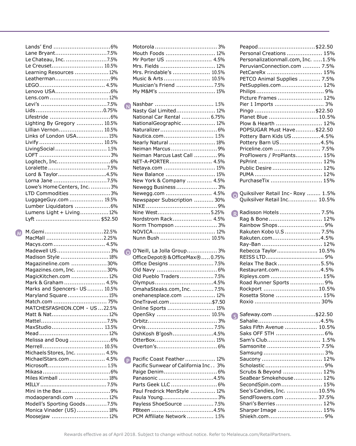|   | Lane Bryant7.5%                                       |
|---|-------------------------------------------------------|
|   | Le Chateau, Inc. 7.5%                                 |
|   | Le Creuset 10.5%                                      |
|   | Learning Resources  12%                               |
|   | Leatherman9%                                          |
|   |                                                       |
|   |                                                       |
|   | Lens.com 12%                                          |
|   |                                                       |
|   |                                                       |
|   |                                                       |
|   | Lighting By Gregory  10.5%                            |
|   | Lillian Vernon 10.5%                                  |
|   | Links of London USA15%                                |
|   |                                                       |
|   | LivingSocial 1.5%                                     |
|   |                                                       |
|   |                                                       |
|   |                                                       |
|   | Lord & Taylor4.5%                                     |
|   | Lorna Jane 7.5%                                       |
|   | Lowe's Home Centers, Inc.  3%                         |
|   | LTD Commodities 3%                                    |
|   | LuggageGuy.com  19.5%                                 |
|   | Lumber Liquidators 6%                                 |
|   | Lumens Light + Living 12%                             |
|   |                                                       |
|   |                                                       |
|   |                                                       |
|   |                                                       |
| W | M.Gemi22.5%                                           |
|   | MacMall 2.25%                                         |
|   | Macys.com 4.5%                                        |
|   | Madewell US3%                                         |
|   | Madison Style 18%                                     |
|   | Magazineline.com 30%                                  |
|   | Magazines.com, Inc. 30%                               |
|   | MagicKitchen.com  12%                                 |
|   | Mark & Graham  4.5%                                   |
|   | Marks and Spencers - US  10.5%                        |
|   | Maryland Square 15%                                   |
|   | Match.com  75%                                        |
|   | MATCHESFASHION.COM - US 22.5%                         |
|   | Matt & Nat 12%                                        |
|   |                                                       |
|   | MaxStudio 13.5%                                       |
|   |                                                       |
|   | Melissa and Doug 6%                                   |
|   |                                                       |
|   | Michaels Stores, Inc.  4.5%                           |
|   | MichaelStars.com 4.5%                                 |
|   | Microsoft 1.5%                                        |
|   |                                                       |
|   | Miles Kimball 18%                                     |
|   |                                                       |
|   | Mini in the Box 9%                                    |
|   | modaoperandi.com  12%                                 |
|   | Modell's Sporting Goods7.5%<br>Monica Vinader (US)18% |

Moosejaw ................................12%

|           | Mouth Foods  12%                        |
|-----------|-----------------------------------------|
|           | Mr Porter US  4.5%                      |
|           | Mrs. Fields  12%                        |
|           | Mrs. Prindable's  10.5%                 |
|           | Music & Arts  10.5%                     |
|           | Musician's Friend  7.5%                 |
|           | My M&M's  15%                           |
|           |                                         |
| <b>N</b>  | Nashbar  1.5%                           |
|           | Nasty Gal Limited 12%                   |
|           | National Car Rental  6.75%              |
|           | NationalGeographic 12%                  |
|           |                                         |
|           | Nautica.com 1.5%                        |
|           | Nearly Natural  18%                     |
|           | Neiman Marcus9%                         |
|           | Neiman Marcus Last Call  9%             |
|           | NET-A-PORTER 4.5%                       |
|           | Netaya.com  15%                         |
|           | New Balance  15%                        |
|           |                                         |
|           | New York & Company  4.5%                |
|           | Newegg Business 3%                      |
|           | Newegg.com  4.5%                        |
|           | Newspaper Subscription  30%             |
|           |                                         |
|           | Nine West5.25%                          |
|           | Nordstrom Rack 4.5%                     |
|           | Norm Thompson  3%                       |
|           |                                         |
|           | Nunn Bush  10.5%                        |
|           |                                         |
|           |                                         |
| $\bullet$ | O'Neill, La Jolla Group 3%              |
|           | Office Depot®& OfficeMax® 0.75%         |
|           |                                         |
|           |                                         |
|           | Old Pueblo Traders 7.5%                 |
|           | Olympus4.5%                             |
|           | OmahaSteaks.com, Inc.  7.5%             |
|           |                                         |
|           | onehanesplace.com  12%                  |
|           | OneTravel.com \$7.50                    |
|           | Online Sports  15%                      |
|           | OpenSky  10.5%                          |
|           |                                         |
|           |                                         |
|           | OshKosh B'gosh4.5%                      |
|           | OtterBox 15%                            |
|           |                                         |
|           |                                         |
| Ð         | Pacific Coast Feather 12%               |
|           | Pacific Sunwear of California Inc<br>3% |
|           |                                         |
|           | Panasonic 4.5%                          |
|           | Parts Geek LLC  6%                      |
|           | Paul Fredrick MenStyle  12%             |
|           |                                         |
|           | Payless ShoeSource  7.5%                |
|           | PBteen 4.5%                             |
|           | PCM Affiliate Network  1.5%             |

Motorola ................................... 3%

|           | Peapod\$22.50                      |  |
|-----------|------------------------------------|--|
|           | Personal Creations  15%            |  |
|           | Personalizationmall.com, Inc. 1.5% |  |
|           | PeruvianConnection.com  7.5%       |  |
|           | PetCareRx  15%                     |  |
|           | PETCO Animal Supplies  7.5%        |  |
|           | PetSupplies.com 12%                |  |
|           |                                    |  |
|           |                                    |  |
|           | Picture Frames  12%                |  |
|           | Pier 1 Imports  3%                 |  |
|           | Pingo \$22.50                      |  |
|           | Planet Blue 10.5%                  |  |
|           | Plow & Hearth  12%                 |  |
|           | POPSUGAR Must Have\$22.50          |  |
|           | Pottery Barn Kids US 4.5%          |  |
|           | Pottery Barn US4.5%                |  |
|           | Priceline.com  7.5%                |  |
|           | ProFlowers / ProPlants 15%         |  |
|           |                                    |  |
|           |                                    |  |
|           | Public Desire  12%                 |  |
|           |                                    |  |
|           | PurchaseTix  15%                   |  |
|           |                                    |  |
| $\bullet$ | Quiksilver Retail Inc-Roxy  1.5%   |  |
|           | Quiksilver Retail Inc 10.5%        |  |
|           |                                    |  |
|           | R Radisson Hotels  7.5%            |  |
|           | Rag & Bone 12%                     |  |
|           | Rainbow Shops 9%                   |  |
|           | Rakuten Kobo U.S  7.5%             |  |
|           | Rakuten.com4.5%                    |  |
|           | Ray-Ban  12%                       |  |
|           | Rebecca Taylor 10.5%               |  |
|           |                                    |  |
|           | Relax The Back5.5%                 |  |
|           | Restaurant.com4.5%                 |  |
|           | Ripleys.com  15%                   |  |
|           | Road Runner Sports  9%             |  |
|           | Rockport 10.5%                     |  |
|           | Rosetta Stone  15%                 |  |
|           |                                    |  |
|           |                                    |  |
|           | Safeway.com \$22.50                |  |
| IS)       |                                    |  |
|           | Sahalie4.5%                        |  |
|           | Saks Fifth Avenue  10.5%           |  |
|           | Saks OFF 5TH  6%                   |  |
|           | Sam's Club 1.5%                    |  |
|           |                                    |  |
|           |                                    |  |
|           | Saucony  12%                       |  |
|           |                                    |  |
|           | Scrubs & Beyond  12%               |  |
|           | SeaBear Smokehouse 12%             |  |
|           | SecondSpin.com 15%                 |  |
|           | See's Candies, Inc. 10.5%          |  |
|           | SendFlowers.com  37.5%             |  |
|           | Shari's Berries  12%               |  |
|           | Sharper Image  15%                 |  |
|           | Shiekh.com9%                       |  |
|           |                                    |  |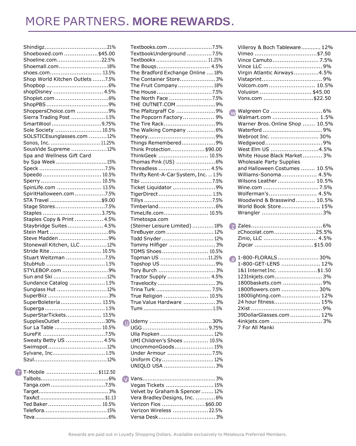# MORE PARTNERS. **MORE REWARDS**.

| Shoeboxed.com \$45.00           |  |
|---------------------------------|--|
| Shoeline.com22.5%               |  |
| Shoemall.com18%                 |  |
| shoes.com 13.5%                 |  |
| Shop World Kitchen Outlets 7.5% |  |
|                                 |  |
| shopDisney  4.5%                |  |
|                                 |  |
|                                 |  |
| ShoppersChoice.com 9%           |  |
| Sierra Trading Post  1.5%       |  |
| SmartWool9.75%                  |  |
| Sole Society  10.5%             |  |
| SOLSTICEsunglasses.com 12%      |  |
| Sonos, Inc.  11.25%             |  |
|                                 |  |
| SousVide Supreme 12%            |  |
| Spa and Wellness Gift Card      |  |
| by Spa Week15%                  |  |
|                                 |  |
| Speedo  10.5%                   |  |
| Sperry  10.5%                   |  |
| SpinLife.com  13.5%             |  |
| SpiritHalloween.com7.5%         |  |
| STA Travel \$9.00               |  |
| Stage Stores7.5%                |  |
| Staples 3.75%                   |  |
| Staples Copy & Print  4.5%      |  |
| Staybridge Suites  4.5%         |  |
|                                 |  |
| Steve Madden 9%                 |  |
| Stonewall Kitchen, LLC12%       |  |
| Stride Rite 10.5%               |  |
| Stuart Weitzman 7.5%            |  |
| StubHub  1.5%                   |  |
| STYLEBOP.com 9%                 |  |
| Sun and Ski 12%                 |  |
| Sundance Catalog  1.5%          |  |
| Sunglass Hut 12%                |  |
|                                 |  |
| SuperBoletería 13.5%            |  |
| Superga1.5%                     |  |
| SuperStarTickets 13.5%          |  |
| SuppliesOutlet 30%              |  |
| Sur La Table  10.5%             |  |
| SureFit 7.5%                    |  |
| Sweaty Betty US  4.5%           |  |
| Swimspot12%                     |  |
| Sylvane, Inc 1.5%               |  |
|                                 |  |
|                                 |  |

| T-Mobile \$112.50 |  |
|-------------------|--|
|                   |  |

| Textbooks.com 7.5%                    |
|---------------------------------------|
| TextbookUnderground 7.5%              |
| Textbookx 11.25%                      |
| The Bougs 4.5%                        |
| The Bradford Exchange Online  18%     |
| The Container Store3%                 |
| The Fruit Company 18%                 |
| The House7.5%                         |
| The North Face 7.5%                   |
| THE OUTNET.COM 9%                     |
| The Pfaltzgraff Co 9%                 |
| The Popcorn Factory 9%                |
|                                       |
| The Tire Rack9%                       |
| The Walking Company 6%                |
|                                       |
| Things Remembered9%                   |
| Think Protection\$90.00               |
| ThinkGeek  10.5%                      |
| Thomas Pink (US) 6%                   |
| Threadless  4.5%                      |
| Thrifty Rent-A-Car System, Inc.  1.5% |
|                                       |
| Ticket Liquidator 9%                  |
| TigerDirect 1.5%                      |
|                                       |
|                                       |
| TimeLife.com 10.5%                    |
| Timetospa.com                         |
| (Steiner Leisure Limited)  18%        |
| TireBuyer.com  12%                    |
| Todd Snyder  12%                      |
| Tommy Hilfiger 3%                     |
| TOMS Shoes 10.5%                      |
|                                       |
| Topman US 11.25%                      |
| Topshop US 9%                         |
| Tory Burch 3%                         |
| Tractor Supply  4.5%                  |
|                                       |
|                                       |
| True Religion  10.5%                  |
| True Value Hardware 3%                |
|                                       |
|                                       |
|                                       |
|                                       |
| Ulla Popken  12%                      |
| UMI Children's Shoes  10.5%           |
| UncommonGoods15%                      |
| Under Armour 7.5%                     |
| Uniform City 12%                      |
| UNIQLO USA 3%                         |
|                                       |
|                                       |
| Vegas Tickets  15%                    |
| Velvet by Graham & Spencer  12%       |
| Vera Bradley Designs, Inc.  6%        |
| Verizon Fios \$60.00                  |
| Verizon Wireless  22.5%               |
| Versa Desk3%                          |
|                                       |

|                              | Villeroy & Boch Tableware 12%<br>Vimeo \$7.50<br>Vince Camuto 7.5%<br>Virgin Atlantic Airways4.5%<br>Vistaprint9%<br>Volcom.com  10.5%<br>Volusion  \$45.00<br>Vons.com \$22.50                                                                                                                                                               |
|------------------------------|-----------------------------------------------------------------------------------------------------------------------------------------------------------------------------------------------------------------------------------------------------------------------------------------------------------------------------------------------|
| $\mathsf{w}$                 | Walmart.com  1.5%<br>Warner Bros. Online Shop  10.5%<br>Webroot Inc.  30%<br>West Elm US 4.5%<br>White House Black Market 3%<br><b>Wholesale Party Supplies</b><br>and Halloween Costumes  10.5%<br>Williams-Sonoma 4.5%<br>Wilsons Leather  10.5%<br>Wine.com 7.5%<br>Wolferman's 4.5%<br>Woodwind & Brasswind 10.5%<br>World Book Store 15% |
|                              | zChocolat.com 25.5%<br>Zinio, LLC  4.5%<br>Zipcar \$15.00                                                                                                                                                                                                                                                                                     |
| $\left( \frac{1}{2} \right)$ | 1-800-FLORALS30%<br>1-800-GET-LENS  12%<br>1&1 Internet Inc.  \$1.50<br>123Inkjets.com 3%<br>1800baskets.com 9%<br>1800flowers.com  30%<br>1800lighting.com  12%<br>24 hour fitness 15%<br>39DollarGlasses.com  12%<br>4inkjets.com  3%<br>7 For All Manki                                                                                    |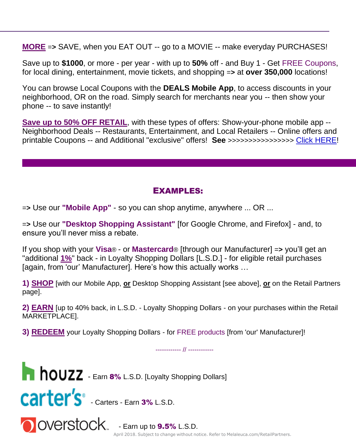**MORE** =**>** SAVE, when you EAT OUT -- go to a MOVIE -- make everyday PURCHASES!

Save up to **\$1000**, or more - per year - with up to **50%** off - and Buy 1 - Get FREE Coupons, for local dining, entertainment, movie tickets, and shopping =**>** at **over 350,000** locations!

You can browse Local Coupons with the **DEALS Mobile App**, to access discounts in your neighborhood, OR on the road. Simply search for merchants near you -- then show your phone -- to save instantly!

**Save up to 50% OFF RETAIL**, with these types of offers: Show-your-phone mobile app -- Neighborhood Deals -- Restaurants, Entertainment, and Local Retailers -- Online offers and printable Coupons -- and Additional "exclusive" offers! **See** >>>>>>>>>>>>>>>> [Click HERE!](https://chrome.google.com/webstore/category/ext/12-shopping)

### EXAMPLES:

=**>** Use our **"Mobile App"** - so you can shop anytime, anywhere ... OR ...

=**>** Use our **"Desktop Shopping Assistant"** [for Google Chrome, and Firefox] - and, to ensure you'll never miss a rebate.

If you shop with your **Visa**® - or **Mastercard**® [through our Manufacturer] =**>** you'll get an "additional **1%**" back - in Loyalty Shopping Dollars [L.S.D.] - for eligible retail purchases [again, from 'our' Manufacturer]. Here's how this actually works …

**1) SHOP** [with our Mobile App, **or** Desktop Shopping Assistant [see above], **or** on the Retail Partners page].

**2) EARN** [up to 40% back, in L.S.D. - Loyalty Shopping Dollars - on your purchases within the Retail MARKETPLACE].

**3) REDEEM** your Loyalty Shopping Dollars - for FREE products [from 'our' Manufacturer]!



Rewards effective as of April 2018. Subject to change without notice. Refer to Melaleuca.com/RetailPartners. - Earn up to **9.5%** L.S.D.